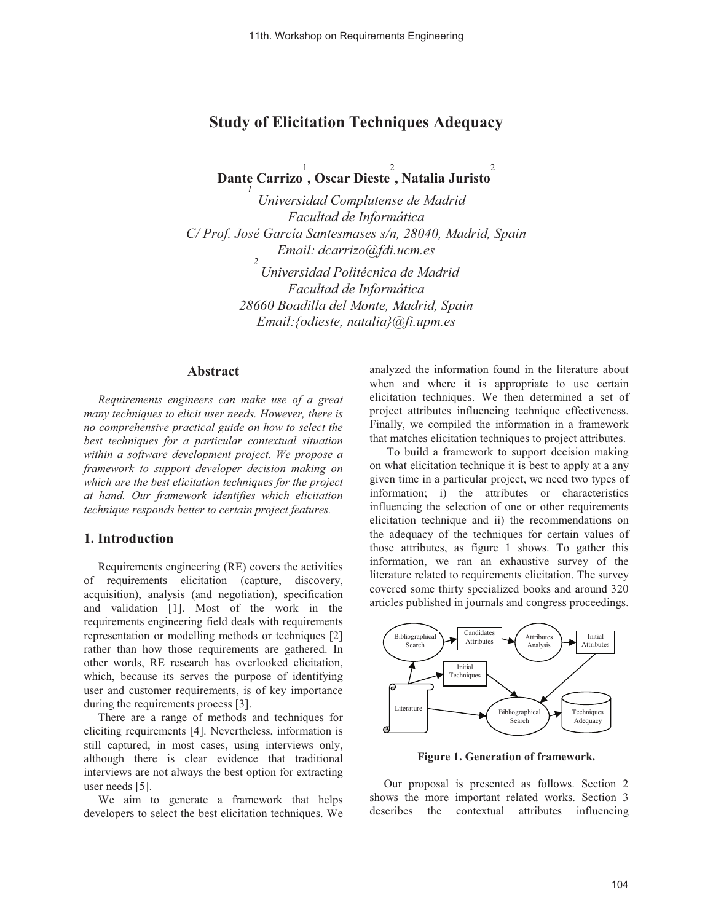# **Study of Elicitation Techniques Adequacy**

**Dante Carrizo** 1 **, Oscar Dieste** 2 **, Natalia Juristo** 2 *1* 

*Universidad Complutense de Madrid Facultad de Informática C/ Prof. José García Santesmases s/n, 28040, Madrid, Spain Email: dcarrizo@fdi.ucm.es 2 Universidad Politécnica de Madrid Facultad de Informática 28660 Boadilla del Monte, Madrid, Spain Email:{odieste, natalia}@fi.upm.es* 

#### **Abstract**

*Requirements engineers can make use of a great many techniques to elicit user needs. However, there is no comprehensive practical guide on how to select the best techniques for a particular contextual situation within a software development project. We propose a framework to support developer decision making on which are the best elicitation techniques for the project at hand. Our framework identifies which elicitation technique responds better to certain project features.* 

### **1. Introduction**

Requirements engineering (RE) covers the activities of requirements elicitation (capture, discovery, acquisition), analysis (and negotiation), specification and validation [1]. Most of the work in the requirements engineering field deals with requirements representation or modelling methods or techniques [2] rather than how those requirements are gathered. In other words, RE research has overlooked elicitation, which, because its serves the purpose of identifying user and customer requirements, is of key importance during the requirements process [3].

There are a range of methods and techniques for eliciting requirements [4]. Nevertheless, information is still captured, in most cases, using interviews only, although there is clear evidence that traditional interviews are not always the best option for extracting user needs [5].

We aim to generate a framework that helps developers to select the best elicitation techniques. We

analyzed the information found in the literature about when and where it is appropriate to use certain elicitation techniques. We then determined a set of project attributes influencing technique effectiveness. Finally, we compiled the information in a framework that matches elicitation techniques to project attributes.

To build a framework to support decision making on what elicitation technique it is best to apply at a any given time in a particular project, we need two types of information; i) the attributes or characteristics influencing the selection of one or other requirements elicitation technique and ii) the recommendations on the adequacy of the techniques for certain values of those attributes, as figure 1 shows. To gather this information, we ran an exhaustive survey of the literature related to requirements elicitation. The survey covered some thirty specialized books and around 320 articles published in journals and congress proceedings.



**Figure 1. Generation of framework.**

Our proposal is presented as follows. Section 2 shows the more important related works. Section 3 describes the contextual attributes influencing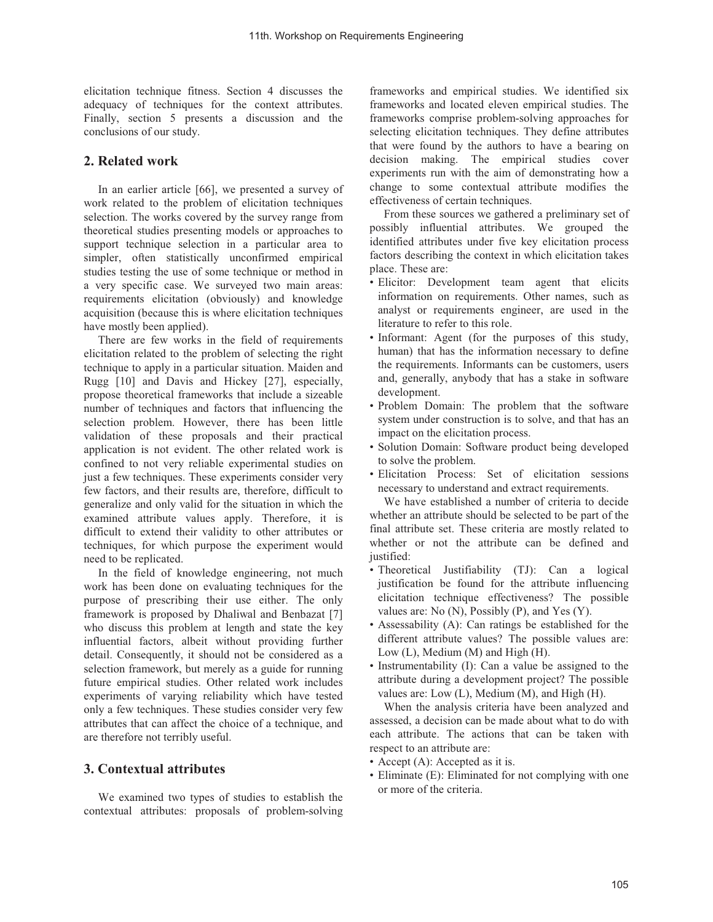elicitation technique fitness. Section 4 discusses the adequacy of techniques for the context attributes. Finally, section 5 presents a discussion and the conclusions of our study.

### **2. Related work**

In an earlier article [66], we presented a survey of work related to the problem of elicitation techniques selection. The works covered by the survey range from theoretical studies presenting models or approaches to support technique selection in a particular area to simpler, often statistically unconfirmed empirical studies testing the use of some technique or method in a very specific case. We surveyed two main areas: requirements elicitation (obviously) and knowledge acquisition (because this is where elicitation techniques have mostly been applied).

There are few works in the field of requirements elicitation related to the problem of selecting the right technique to apply in a particular situation. Maiden and Rugg [10] and Davis and Hickey [27], especially, propose theoretical frameworks that include a sizeable number of techniques and factors that influencing the selection problem. However, there has been little validation of these proposals and their practical application is not evident. The other related work is confined to not very reliable experimental studies on just a few techniques. These experiments consider very few factors, and their results are, therefore, difficult to generalize and only valid for the situation in which the examined attribute values apply. Therefore, it is difficult to extend their validity to other attributes or techniques, for which purpose the experiment would need to be replicated.

In the field of knowledge engineering, not much work has been done on evaluating techniques for the purpose of prescribing their use either. The only framework is proposed by Dhaliwal and Benbazat [7] who discuss this problem at length and state the key influential factors, albeit without providing further detail. Consequently, it should not be considered as a selection framework, but merely as a guide for running future empirical studies. Other related work includes experiments of varying reliability which have tested only a few techniques. These studies consider very few attributes that can affect the choice of a technique, and are therefore not terribly useful.

#### **3. Contextual attributes**

We examined two types of studies to establish the contextual attributes: proposals of problem-solving frameworks and empirical studies. We identified six frameworks and located eleven empirical studies. The frameworks comprise problem-solving approaches for selecting elicitation techniques. They define attributes that were found by the authors to have a bearing on decision making. The empirical studies cover experiments run with the aim of demonstrating how a change to some contextual attribute modifies the effectiveness of certain techniques.

From these sources we gathered a preliminary set of possibly influential attributes. We grouped the identified attributes under five key elicitation process factors describing the context in which elicitation takes place. These are:

- Elicitor: Development team agent that elicits information on requirements. Other names, such as analyst or requirements engineer, are used in the literature to refer to this role.
- Informant: Agent (for the purposes of this study, human) that has the information necessary to define the requirements. Informants can be customers, users and, generally, anybody that has a stake in software development.
- Problem Domain: The problem that the software system under construction is to solve, and that has an impact on the elicitation process.
- Solution Domain: Software product being developed to solve the problem.
- Elicitation Process: Set of elicitation sessions necessary to understand and extract requirements.

We have established a number of criteria to decide whether an attribute should be selected to be part of the final attribute set. These criteria are mostly related to whether or not the attribute can be defined and justified:

- Theoretical Justifiability (TJ): Can a logical justification be found for the attribute influencing elicitation technique effectiveness? The possible values are: No (N), Possibly (P), and Yes (Y).
- Assessability (A): Can ratings be established for the different attribute values? The possible values are: Low (L), Medium (M) and High (H).
- Instrumentability (I): Can a value be assigned to the attribute during a development project? The possible values are: Low (L), Medium (M), and High (H).

When the analysis criteria have been analyzed and assessed, a decision can be made about what to do with each attribute. The actions that can be taken with respect to an attribute are:

- Accept (A): Accepted as it is.
- Eliminate (E): Eliminated for not complying with one or more of the criteria.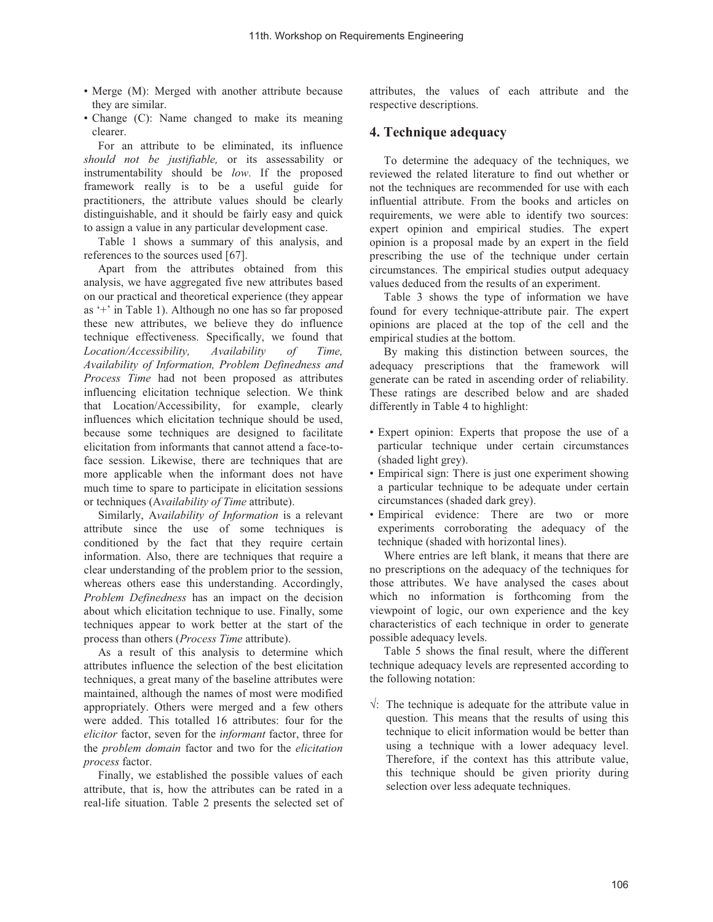- Merge (M): Merged with another attribute because they are similar.
- Change (C): Name changed to make its meaning clearer.

For an attribute to be eliminated, its influence *should not be justifiable,* or its assessability or instrumentability should be *low*. If the proposed framework really is to be a useful guide for practitioners, the attribute values should be clearly distinguishable, and it should be fairly easy and quick to assign a value in any particular development case.

Table 1 shows a summary of this analysis, and references to the sources used [67].

Apart from the attributes obtained from this analysis, we have aggregated five new attributes based on our practical and theoretical experience (they appear as '+' in Table 1). Although no one has so far proposed these new attributes, we believe they do influence technique effectiveness. Specifically, we found that *Location/Accessibility, Availability of Time, Availability of Information, Problem Definedness and Process Time* had not been proposed as attributes influencing elicitation technique selection. We think that Location/Accessibility, for example, clearly influences which elicitation technique should be used, because some techniques are designed to facilitate elicitation from informants that cannot attend a face-toface session. Likewise, there are techniques that are more applicable when the informant does not have much time to spare to participate in elicitation sessions or techniques (A*vailability of Time* attribute).

Similarly, A*vailability of Information* is a relevant attribute since the use of some techniques is conditioned by the fact that they require certain information. Also, there are techniques that require a clear understanding of the problem prior to the session, whereas others ease this understanding. Accordingly, *Problem Definedness* has an impact on the decision about which elicitation technique to use. Finally, some techniques appear to work better at the start of the process than others (*Process Time* attribute).

As a result of this analysis to determine which attributes influence the selection of the best elicitation techniques, a great many of the baseline attributes were maintained, although the names of most were modified appropriately. Others were merged and a few others were added. This totalled 16 attributes: four for the *elicitor* factor, seven for the *informant* factor, three for the *problem domain* factor and two for the *elicitation process* factor.

Finally, we established the possible values of each attribute, that is, how the attributes can be rated in a real-life situation. Table 2 presents the selected set of attributes, the values of each attribute and the respective descriptions.

## **4. Technique adequacy**

To determine the adequacy of the techniques, we reviewed the related literature to find out whether or not the techniques are recommended for use with each influential attribute. From the books and articles on requirements, we were able to identify two sources: expert opinion and empirical studies. The expert opinion is a proposal made by an expert in the field prescribing the use of the technique under certain circumstances. The empirical studies output adequacy values deduced from the results of an experiment.

Table 3 shows the type of information we have found for every technique-attribute pair. The expert opinions are placed at the top of the cell and the empirical studies at the bottom.

By making this distinction between sources, the adequacy prescriptions that the framework will generate can be rated in ascending order of reliability. These ratings are described below and are shaded differently in Table 4 to highlight:

- Expert opinion: Experts that propose the use of a particular technique under certain circumstances (shaded light grey).
- Empirical sign: There is just one experiment showing a particular technique to be adequate under certain circumstances (shaded dark grey).
- Empirical evidence: There are two or more experiments corroborating the adequacy of the technique (shaded with horizontal lines).

Where entries are left blank, it means that there are no prescriptions on the adequacy of the techniques for those attributes. We have analysed the cases about which no information is forthcoming from the viewpoint of logic, our own experience and the key characteristics of each technique in order to generate possible adequacy levels.

Table 5 shows the final result, where the different technique adequacy levels are represented according to the following notation:

 $\sqrt{ }$ : The technique is adequate for the attribute value in question. This means that the results of using this technique to elicit information would be better than using a technique with a lower adequacy level. Therefore, if the context has this attribute value, this technique should be given priority during selection over less adequate techniques.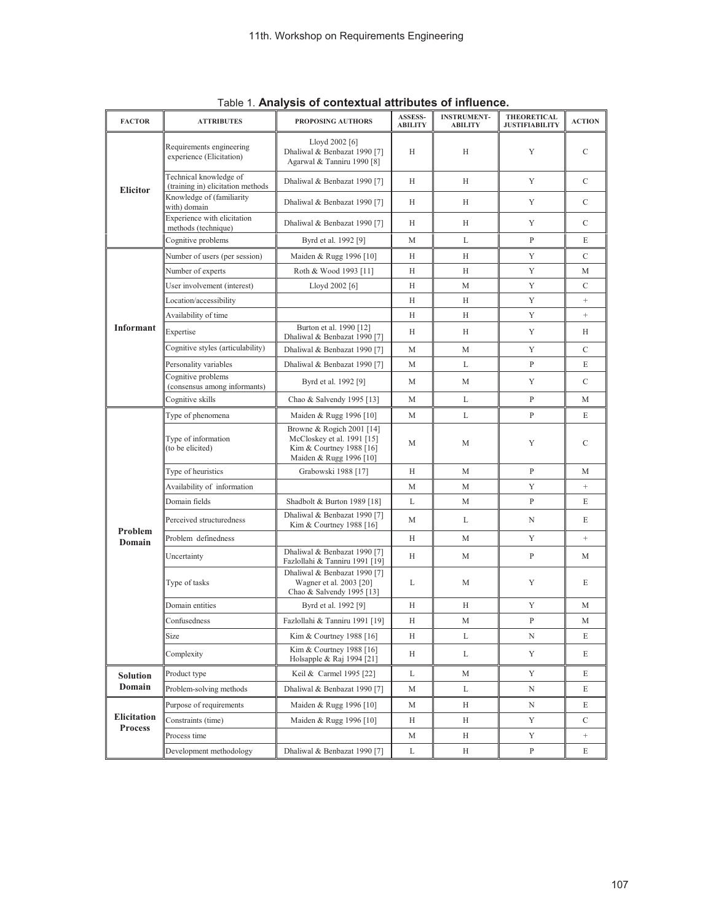| <b>FACTOR</b>      | <b>ATTRIBUTES</b>                                           | PROPOSING AUTHORS                                                                                              | ASSESS-        | <b>INSTRUMENT-</b> | THEORETICAL           | <b>ACTION</b>   |
|--------------------|-------------------------------------------------------------|----------------------------------------------------------------------------------------------------------------|----------------|--------------------|-----------------------|-----------------|
|                    |                                                             |                                                                                                                | <b>ABILITY</b> | <b>ABILITY</b>     | <b>JUSTIFIABILITY</b> |                 |
|                    | Requirements engineering<br>experience (Elicitation)        | Lloyd 2002 [6]<br>Dhaliwal & Benbazat 1990 [7]<br>Agarwal & Tanniru 1990 [8]                                   | Н              | Н                  | Y                     | C               |
| <b>Elicitor</b>    | Technical knowledge of<br>(training in) elicitation methods | Dhaliwal & Benbazat 1990 [7]                                                                                   | H              | H                  | Y                     | $\mathcal{C}$   |
|                    | Knowledge of (familiarity<br>with) domain                   | Dhaliwal & Benbazat 1990 [7]                                                                                   | H              | H                  | Y                     | $\mathcal{C}$   |
|                    | Experience with elicitation<br>methods (technique)          | Dhaliwal & Benbazat 1990 [7]                                                                                   | H              | Н                  | Y                     | $\mathcal{C}$   |
|                    | Cognitive problems                                          | Byrd et al. 1992 [9]                                                                                           | М              | L                  | P                     | E               |
|                    | Number of users (per session)                               | Maiden & Rugg 1996 [10]                                                                                        | Н              | Н                  | Y                     | C               |
|                    | Number of experts                                           | Roth & Wood 1993 [11]                                                                                          | Н              | Н                  | Y                     | М               |
|                    | User involvement (interest)                                 | Lloyd 2002 [6]                                                                                                 | H              | M                  | Y                     | $\mathcal{C}$   |
|                    | Location/accessibility                                      |                                                                                                                | H              | Н                  | Y                     | $^{+}$          |
|                    | Availability of time                                        |                                                                                                                | Н              | Н                  | Y                     |                 |
| Informant          | Expertise                                                   | Burton et al. 1990 [12]<br>Dhaliwal & Benbazat 1990 [7]                                                        | Н              | Н                  | Y                     | Н               |
|                    | Cognitive styles (articulability)                           | Dhaliwal & Benbazat 1990 [7]                                                                                   | M              | M                  | Y                     | C               |
|                    | Personality variables                                       | Dhaliwal & Benbazat 1990 [7]                                                                                   | М              | L                  | $\mathbf{P}$          | E               |
|                    | Cognitive problems<br>(consensus among informants)          | Byrd et al. 1992 [9]                                                                                           | М              | М                  | Y                     | $\mathcal{C}$   |
|                    | Cognitive skills                                            | Chao & Salvendy 1995 [13]                                                                                      | M              | L                  | P                     | М               |
|                    | Type of phenomena                                           | Maiden & Rugg 1996 [10]                                                                                        | M              | L                  | $\mathbf{P}$          | E               |
|                    | Type of information<br>(to be elicited)                     | Browne & Rogich 2001 [14]<br>McCloskey et al. 1991 [15]<br>Kim & Courtney 1988 [16]<br>Maiden & Rugg 1996 [10] | M              | M                  | Y                     | C               |
|                    | Type of heuristics                                          | Grabowski 1988 [17]                                                                                            | Н              | M                  | $\mathbf{P}$          | М               |
|                    | Availability of information                                 |                                                                                                                | М              | M                  | Y                     | $\! + \!$       |
|                    | Domain fields                                               | Shadbolt & Burton 1989 [18]                                                                                    | L              | М                  | P                     | E               |
|                    | Perceived structuredness                                    | Dhaliwal & Benbazat 1990 [7]<br>Kim & Courtney 1988 [16]                                                       | М              | L                  | N                     | E               |
| Problem<br>Domain  | Problem definedness                                         |                                                                                                                | Н              | М                  | Y                     | $^{+}$          |
|                    | Uncertainty                                                 | Dhaliwal & Benbazat 1990 [7]<br>Fazlollahi & Tanniru 1991 [19]                                                 | Н              | М                  | P                     | М               |
|                    | Type of tasks                                               | Dhaliwal & Benbazat 1990 [7]<br>Wagner et al. 2003 [20]<br>Chao & Salvendy 1995 [13]                           | L              | M                  | Y                     | E               |
|                    | Domain entities                                             | Byrd et al. 1992 [9]                                                                                           | Н              | Н                  | Y                     | M               |
|                    | Confusedness                                                | Fazlollahi & Tanniru 1991 [19]                                                                                 | Н              | М                  | P                     | М               |
|                    | Size                                                        | Kim & Courtney 1988 [16]                                                                                       | Н              | L                  | N                     | E               |
|                    | Complexity                                                  | Kim & Courtney 1988 [16]<br>Holsapple & Raj 1994 [21]                                                          | Н              | L                  | Y                     | E               |
| <b>Solution</b>    | Product type                                                | Keil & Carmel 1995 [22]                                                                                        | L              | M                  | Y                     | E               |
| Domain             | Problem-solving methods                                     | Dhaliwal & Benbazat 1990 [7]                                                                                   | М              | L                  | N                     | E               |
|                    | Purpose of requirements                                     | Maiden & Rugg 1996 [10]                                                                                        | М              | Н                  | Ν                     | E               |
| <b>Elicitation</b> | Constraints (time)                                          | Maiden & Rugg 1996 [10]                                                                                        | Н              | Н                  | Y                     | $\mathcal{C}$   |
| <b>Process</b>     | Process time                                                |                                                                                                                | М              | Н                  | Y                     | $\! + \!\!\!\!$ |
|                    | Development methodology                                     | Dhaliwal & Benbazat 1990 [7]                                                                                   | L              | Н                  | $\mathbf{P}$          | E               |

Table 1. **Analysis of contextual attributes of influence.**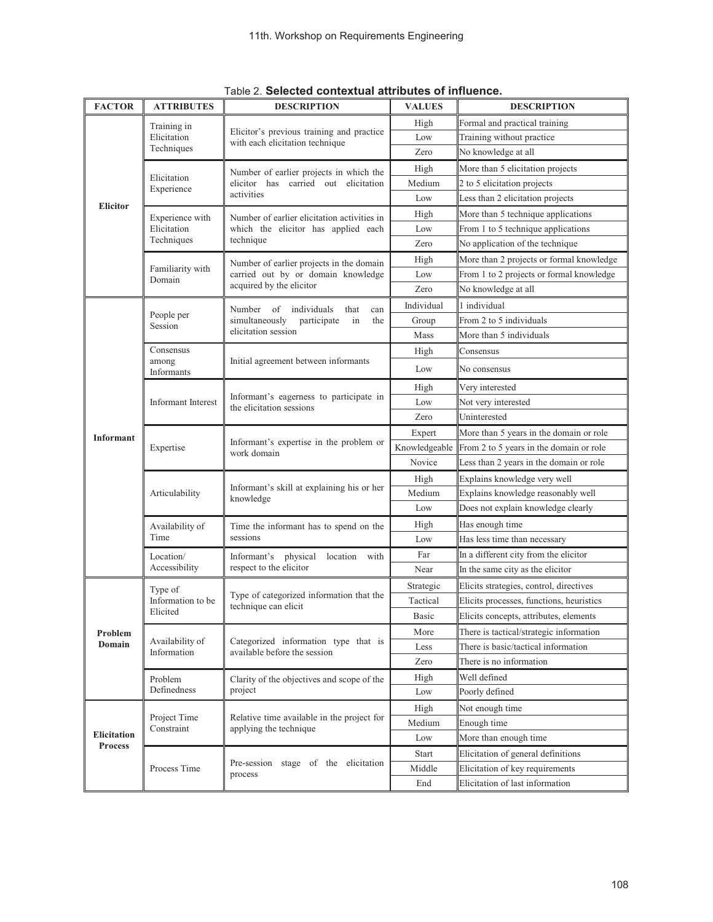| <b>FACTOR</b>      | <b>ATTRIBUTES</b>              | <b>DESCRIPTION</b>                                                           | <b>VALUES</b> | <b>DESCRIPTION</b>                       |  |  |  |  |  |
|--------------------|--------------------------------|------------------------------------------------------------------------------|---------------|------------------------------------------|--|--|--|--|--|
|                    | Training in                    |                                                                              | High          | Formal and practical training            |  |  |  |  |  |
|                    | Elicitation                    | Elicitor's previous training and practice<br>with each elicitation technique | Low           | Training without practice                |  |  |  |  |  |
|                    | Techniques                     |                                                                              | Zero          | No knowledge at all                      |  |  |  |  |  |
|                    |                                | Number of earlier projects in which the                                      | High          | More than 5 elicitation projects         |  |  |  |  |  |
|                    | Elicitation<br>Experience      | elicitor has carried out elicitation                                         | Medium        | 2 to 5 elicitation projects              |  |  |  |  |  |
| <b>Elicitor</b>    |                                | activities                                                                   | Low           | Less than 2 elicitation projects         |  |  |  |  |  |
|                    | Experience with                | Number of earlier elicitation activities in                                  | High          | More than 5 technique applications       |  |  |  |  |  |
|                    | Elicitation                    | which the elicitor has applied each                                          | Low           | From 1 to 5 technique applications       |  |  |  |  |  |
|                    | Techniques                     | technique                                                                    | Zero          | No application of the technique          |  |  |  |  |  |
|                    |                                | Number of earlier projects in the domain                                     | High          | More than 2 projects or formal knowledge |  |  |  |  |  |
|                    | Familiarity with<br>Domain     | carried out by or domain knowledge                                           | Low           | From 1 to 2 projects or formal knowledge |  |  |  |  |  |
|                    |                                | acquired by the elicitor                                                     | Zero          | No knowledge at all                      |  |  |  |  |  |
|                    |                                | Number<br>of<br>individuals<br>that<br>can                                   | Individual    | 1 individual                             |  |  |  |  |  |
|                    | People per<br>Session          | simultaneously<br>participate<br>in<br>the                                   | Group         | From 2 to 5 individuals                  |  |  |  |  |  |
|                    |                                | elicitation session                                                          | Mass          | More than 5 individuals                  |  |  |  |  |  |
|                    | Consensus                      |                                                                              | High          | Consensus                                |  |  |  |  |  |
|                    | among<br>Informants            | Initial agreement between informants                                         | Low           | No consensus                             |  |  |  |  |  |
|                    |                                |                                                                              | High          | Very interested                          |  |  |  |  |  |
|                    | Informant Interest             | Informant's eagerness to participate in<br>the elicitation sessions          | Low           | Not very interested                      |  |  |  |  |  |
|                    |                                |                                                                              | Zero          | Uninterested                             |  |  |  |  |  |
| <b>Informant</b>   |                                |                                                                              | Expert        | More than 5 years in the domain or role  |  |  |  |  |  |
|                    | Expertise                      | Informant's expertise in the problem or<br>work domain                       | Knowledgeable | From 2 to 5 years in the domain or role  |  |  |  |  |  |
|                    |                                |                                                                              | Novice        | Less than 2 years in the domain or role  |  |  |  |  |  |
|                    |                                |                                                                              | High          | Explains knowledge very well             |  |  |  |  |  |
|                    | Articulability                 | Informant's skill at explaining his or her<br>knowledge                      | Medium        | Explains knowledge reasonably well       |  |  |  |  |  |
|                    |                                |                                                                              | Low           | Does not explain knowledge clearly       |  |  |  |  |  |
|                    | Availability of                | Time the informant has to spend on the                                       | High          | Has enough time                          |  |  |  |  |  |
|                    | Time                           | sessions                                                                     | Low           | Has less time than necessary             |  |  |  |  |  |
|                    | Location/                      | Informant's physical<br>location<br>with                                     | Far           | In a different city from the elicitor    |  |  |  |  |  |
|                    | Accessibility                  | respect to the elicitor                                                      | Near          | In the same city as the elicitor         |  |  |  |  |  |
|                    | Type of                        |                                                                              | Strategic     | Elicits strategies, control, directives  |  |  |  |  |  |
|                    | Information to be              | Type of categorized information that the<br>technique can elicit             | Tactical      | Elicits processes, functions, heuristics |  |  |  |  |  |
|                    | Elicited                       |                                                                              | Basic         | Elicits concepts, attributes, elements   |  |  |  |  |  |
| Problem            |                                |                                                                              | More          | There is tactical/strategic information  |  |  |  |  |  |
| Domain             | Availability of<br>Information | Categorized information type that is<br>available before the session         | Less          | There is basic/tactical information      |  |  |  |  |  |
|                    |                                |                                                                              | Zero          | There is no information                  |  |  |  |  |  |
|                    | Problem                        | Clarity of the objectives and scope of the                                   | High          | Well defined                             |  |  |  |  |  |
|                    | Definedness                    | project                                                                      | Low           | Poorly defined                           |  |  |  |  |  |
|                    |                                |                                                                              | High          | Not enough time                          |  |  |  |  |  |
|                    | Project Time<br>Constraint     | Relative time available in the project for<br>applying the technique         | Medium        | Enough time                              |  |  |  |  |  |
| <b>Elicitation</b> |                                |                                                                              | Low           | More than enough time                    |  |  |  |  |  |
| <b>Process</b>     |                                |                                                                              | Start         | Elicitation of general definitions       |  |  |  |  |  |
|                    | Process Time                   | Pre-session stage of the elicitation<br>process                              | Middle        | Elicitation of key requirements          |  |  |  |  |  |
|                    |                                |                                                                              | End           | Elicitation of last information          |  |  |  |  |  |

Table 2. **Selected contextual attributes of influence.**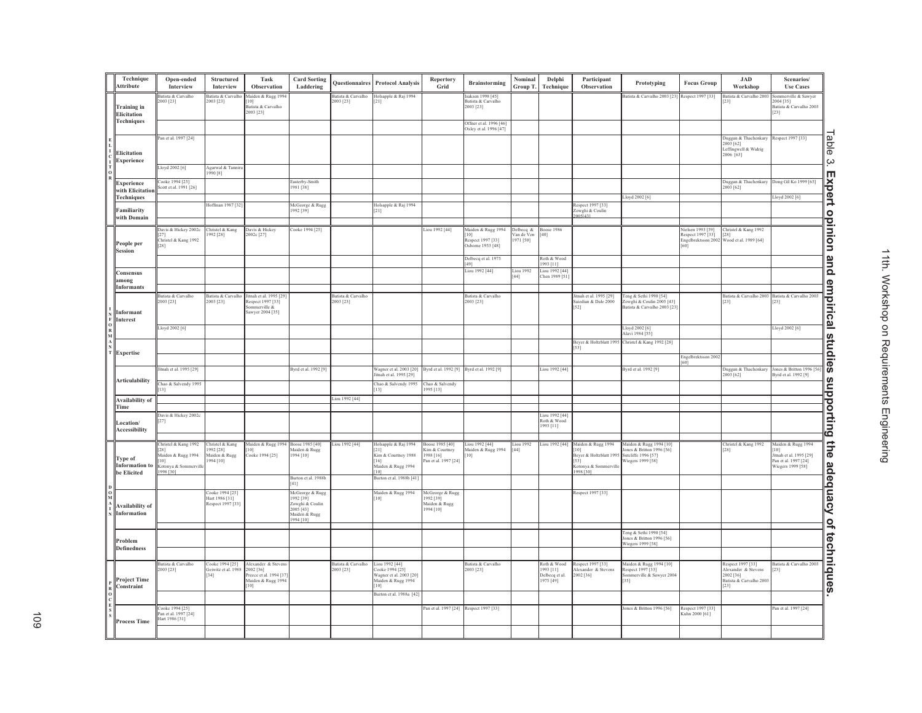| Technique<br>Attribute                          | Open-ended<br>Interview                                                                          | Structured<br>Interview                                   | Task<br>Observation                                                                    | <b>Card Sorting</b><br>Laddering                                                                  | Questionnaires                  | <b>Protocol Analysis</b>                                                                                              | Repertory<br>Grid                                                      | <b>Brainstorming</b>                                         | Nominal<br>Group T.                 | Delphi<br>Technique                                     | Participant<br>Observation                                                                            | Prototyping                                                                                      | <b>Focus Group</b>                                                   | <b>JAD</b><br>Workshop                                                                     | Scenarios/<br><b>Use Cases</b>                                                                   |                   |
|-------------------------------------------------|--------------------------------------------------------------------------------------------------|-----------------------------------------------------------|----------------------------------------------------------------------------------------|---------------------------------------------------------------------------------------------------|---------------------------------|-----------------------------------------------------------------------------------------------------------------------|------------------------------------------------------------------------|--------------------------------------------------------------|-------------------------------------|---------------------------------------------------------|-------------------------------------------------------------------------------------------------------|--------------------------------------------------------------------------------------------------|----------------------------------------------------------------------|--------------------------------------------------------------------------------------------|--------------------------------------------------------------------------------------------------|-------------------|
| <b>Training</b> in<br>Elicitation               | latista & Carvalho<br>2003 [23]                                                                  | atista & Carvalho<br>2003 [23]                            | Maiden & Rugg 1994<br>[0]<br>Batista & Carvalho<br>2003 [23]                           |                                                                                                   | Batista & Carvalho<br>2003 [23] | Iolsapple & Raj 1994<br>21]                                                                                           |                                                                        | Isaksen 1998 [45]<br>Batista & Carvalho<br>2003 [23]         |                                     |                                                         |                                                                                                       | satista & Carvalho 2003 [23]                                                                     | Respect 1997 [33]                                                    | Batista & Carvalho 2003<br>231                                                             | merville & Sawyer<br>2004 [35]<br>Batista & Carvalho 2003<br>23]                                 |                   |
| <b>Techniques</b>                               |                                                                                                  |                                                           |                                                                                        |                                                                                                   |                                 |                                                                                                                       |                                                                        | Offner et al. 1996 [46]<br>xley et al. 1996 [47]             |                                     |                                                         |                                                                                                       |                                                                                                  |                                                                      |                                                                                            |                                                                                                  |                   |
| Elicitation<br>Experience                       | Pan et al. 1997 [24]                                                                             |                                                           |                                                                                        |                                                                                                   |                                 |                                                                                                                       |                                                                        |                                                              |                                     |                                                         |                                                                                                       |                                                                                                  |                                                                      | Duggan & Thachenkary<br>2003 [62]<br>Leffingwell & Widrig<br>2006 [63]                     | Respect 1997 [33]                                                                                | Table             |
|                                                 | Lloyd 2002 <sup>[6]</sup>                                                                        | Agarwal & Tannir<br>1990 [8]                              |                                                                                        |                                                                                                   |                                 |                                                                                                                       |                                                                        |                                                              |                                     |                                                         |                                                                                                       |                                                                                                  |                                                                      |                                                                                            |                                                                                                  | ب<br>ŢŅ           |
| Experience<br>with Elicitation                  | Cooke 1994 [25]<br>Scott et al. 1991 [26]                                                        |                                                           |                                                                                        | Easterby-Smith<br>1981 [38]                                                                       |                                 |                                                                                                                       |                                                                        |                                                              |                                     |                                                         |                                                                                                       |                                                                                                  |                                                                      | Duggan & Thachenkary<br>2003 [62]                                                          | ong Gil Ko 1999 [65]                                                                             |                   |
| <b>Techniques</b><br>Familiarity                |                                                                                                  | Hoffman 1987 [32]                                         |                                                                                        | McGeorge & Rugg<br>1992 [39]                                                                      |                                 | Holsapple & Raj 1994<br>21]                                                                                           |                                                                        |                                                              |                                     |                                                         | Respect 1997 [33]<br>Zowghi & Coulin                                                                  | Lloyd 2002 [6]                                                                                   |                                                                      |                                                                                            | loyd 2002 [6]                                                                                    |                   |
| with Domain                                     |                                                                                                  |                                                           |                                                                                        |                                                                                                   |                                 |                                                                                                                       |                                                                        |                                                              |                                     |                                                         | 0051431                                                                                               |                                                                                                  |                                                                      |                                                                                            |                                                                                                  |                   |
| People per<br><b>Session</b>                    | avis & Hickey 2002c<br>hristel & Kang 1992<br>281                                                | Christel & Kang<br>992 [28]                               | Davis & Hickey<br>002c [27]                                                            | ooke 1994 [25]                                                                                    |                                 |                                                                                                                       | iou 1992 [44]                                                          | Maiden & Rugg 1994<br>Respect 1997 [33]<br>bsborne 1953 [48] | Delbeca &<br>√an de Ven<br>971 [50] | <b>Boose 1986</b><br>$^{40}$                            |                                                                                                       |                                                                                                  | Vielsen 1993 [59]<br>lespect 1997 [33]<br>Engelbrektsson 2002<br>601 | Christel & Kang 1992<br>[28]<br>Wood et al. 1989 [64]                                      |                                                                                                  | xpert opinion     |
|                                                 |                                                                                                  |                                                           |                                                                                        |                                                                                                   |                                 |                                                                                                                       |                                                                        | Delbecq et al. 1975<br>491                                   |                                     | Roth & Wood<br>993 [11]                                 |                                                                                                       |                                                                                                  |                                                                      |                                                                                            |                                                                                                  | and               |
| Consensus<br>among                              |                                                                                                  |                                                           |                                                                                        |                                                                                                   |                                 |                                                                                                                       |                                                                        | iou 1992 [44]                                                | iou 1992<br>44]                     | Liou 1992 [44]<br>hen 1989 [51]                         |                                                                                                       |                                                                                                  |                                                                      |                                                                                            |                                                                                                  |                   |
| <b>Informants</b><br>Informant                  | Batista & Carvalho<br>2003 [23]                                                                  | Batista & Carvalho<br>2003 [23]                           | Jitnah et al. 1995 [29<br>Respect 1997 [33]<br>ommerville $\&$<br>awyer 2004 [35]      |                                                                                                   | Batista & Carvalho<br>2003 [23] |                                                                                                                       |                                                                        | Batista & Carvalho<br>1003 [23]                              |                                     |                                                         | Jitnah et al. 1995 [29]<br>saiedian & Dale 2000<br>$[52]$                                             | Teng & Sethi 1990 [54]<br>Lowghi & Coulin 2005 [43]<br>Batista & Carvalho 2003 [23               |                                                                      | Batista & Carvalho 2003<br>$[23]$                                                          | Batista & Carvalho 2003<br>231                                                                   | empirical studies |
| Interest                                        | Lloyd 2002 [6]                                                                                   |                                                           |                                                                                        |                                                                                                   |                                 |                                                                                                                       |                                                                        |                                                              |                                     |                                                         |                                                                                                       | Lloyd 2002 [6]<br>Alavi 1984 [55]                                                                |                                                                      |                                                                                            | Lloyd 2002 [6]                                                                                   |                   |
| Expertise                                       |                                                                                                  |                                                           |                                                                                        |                                                                                                   |                                 |                                                                                                                       |                                                                        |                                                              |                                     |                                                         | Beyer & Holtzblatt 199:<br>[53]                                                                       | Christel & Kang 1992 [28]                                                                        |                                                                      |                                                                                            |                                                                                                  |                   |
|                                                 | itnah et al. 1995 [29]                                                                           |                                                           |                                                                                        | Byrd et al. 1992 [9]                                                                              |                                 |                                                                                                                       | Byrd et al. 1992 [9]                                                   | Byrd et al. 1992 [9]                                         |                                     | Liou 1992 [44]                                          |                                                                                                       | Byrd et al. 1992 [9]                                                                             | Engelbrektsson 2002<br>601                                           | Juggan & Thachenkary                                                                       | ones & Britton 1996 [56]                                                                         |                   |
| <b>Articulability</b>                           | Chao & Salvendy 1995<br>131                                                                      |                                                           |                                                                                        |                                                                                                   |                                 | Wagner et al. 2003 [20]<br>litnah et al. 1995 [29]<br>Chao & Salvendy 1995                                            | Chao & Salvendy                                                        |                                                              |                                     |                                                         |                                                                                                       |                                                                                                  |                                                                      | 2003 [62]                                                                                  | 3yrd et al. 1992 [9]                                                                             |                   |
| <b>Availability of</b>                          |                                                                                                  |                                                           |                                                                                        |                                                                                                   | iou 1992 [44]                   | 13]                                                                                                                   | 995 [13]                                                               |                                                              |                                     |                                                         |                                                                                                       |                                                                                                  |                                                                      |                                                                                            |                                                                                                  |                   |
| Time<br>Location/<br><b>Accessibility</b>       | Javis & Hickey 2002c                                                                             |                                                           |                                                                                        |                                                                                                   |                                 |                                                                                                                       |                                                                        |                                                              |                                     | Liou 1992 [44]<br>Roth & Wood<br>1993 [11]              |                                                                                                       |                                                                                                  |                                                                      |                                                                                            |                                                                                                  | supporting the    |
| Type of<br><b>Information</b> to<br>be Elicited | Christel & Kang 1992<br>281<br>Maiden & Rugg 1994<br>101<br>.<br>Kotonya & Sommervil<br>998 [30] | Christel & Kang<br>992 [28]<br>Maiden & Rugg<br>1994 [10] | Maiden & Rugg 1994<br>101<br>Cooke 1994 [25]                                           | Boose 1985 [40]<br>Maiden & Rugg<br>1994 [10]<br>Burton et al. 1988b                              | Liou 1992 [44]                  | Iolsapple & Raj 1994<br>21]<br>Cim & Courtney 1988<br>[16]<br>Maiden & Rugg 1994<br>10]<br>Burton et al. 1988b [41]   | boose 1985 [40]<br>Kim & Courtney<br>1988 [16]<br>Pan et al. 1997 [24] | Liou 1992 [44]<br>Maiden & Rugg 1994<br>$10$ ]               | iou 1992<br>44]                     | Liou 1992 [44]                                          | Maiden & Rugg 1994<br>101<br>Beyer & Holtzblatt 1995<br>[53]<br>.<br>Kotonya & Sommervill<br>998 [30] | Maiden & Rugg 1994 [10]<br>Jones & Britton 1996 [56]<br>Sutcliffe 1996 [57]<br>Wiegers 1999 [58] |                                                                      | Christel & Kang 1992<br>$[28]$                                                             | Maiden & Rugg 1994<br>101<br>itnah et al. 1995 [29]<br>Pan et al. 1997 [24]<br>Wiegers 1999 [58] |                   |
| <b>Availability of</b><br>Information           |                                                                                                  | Cooke 1994 [25]<br>Hart 1986 [31]<br>Respect 1997 [33]    |                                                                                        | 41]<br>McGeorge & Rugg<br>1992 [39]<br>Zowghi & Coulin<br>2005 [43]<br>Maiden & Rugg<br>1994 [10] |                                 | Maiden & Rugg 1994<br>[0]                                                                                             | McGeorge & Rugg<br>992 [39]<br>Aaiden & Rugg<br>994 [10]               |                                                              |                                     |                                                         | Respect 1997 [33]                                                                                     |                                                                                                  |                                                                      |                                                                                            |                                                                                                  | adequacy          |
| Problem<br><b>Definedness</b>                   |                                                                                                  |                                                           |                                                                                        |                                                                                                   |                                 |                                                                                                                       |                                                                        |                                                              |                                     |                                                         |                                                                                                       | Teng & Sethi 1990 [54]<br>ones & Britton 1996 [56]<br>Viegers 1999 [58]                          |                                                                      |                                                                                            |                                                                                                  |                   |
| <b>Project Time</b><br>Constraint               | 3atista & Carvalho<br>2003 [23]                                                                  | ooke 1994 [25]<br>Geiwitz et al. 1988<br>$[34]$           | Alexander & Steven<br>2002 [36]<br>Preece et al. 1994 [37<br>Maiden & Rugg 1994<br>101 |                                                                                                   | Batista & Carvalho<br>2003 [23] | Liou 1992 [44]<br>Cooke 1994 [25]<br>Wagner et al. 2003 [20]<br>Maiden & Rugg 1994<br>101<br>Burton et al. 1988a [42] |                                                                        | Batista & Carvalho<br>2003 [23]                              |                                     | Roth & Wood<br>1993 [11]<br>Delbecq et al.<br>1975 [49] | Respect 1997 [33]<br>Alexander & Stevens<br>2002 [36]                                                 | Maiden & Rugg 1994 [10]<br>Respect 1997 [33]<br>Sommerville & Sawyer 2004<br>$\frac{1}{35}$      |                                                                      | Respect 1997 [33]<br>Alexander & Stevens<br>2002 [36]<br>Batista & Carvalho 2003<br>$[23]$ | 3atista & Carvalho 2003<br>231                                                                   | of techniques     |
| <b>Process Time</b>                             | ooke 1994 [25]<br>an et al. 1997 [24]<br>Hart 1986 [31]                                          |                                                           |                                                                                        |                                                                                                   |                                 |                                                                                                                       | Pan et al. 1997 [24] Respect 1997 [33]                                 |                                                              |                                     |                                                         |                                                                                                       | Jones & Britton 1996 [56]                                                                        | Respect 1997 [33]<br>Cuhn 2000 [61]                                  |                                                                                            | Pan et al. 1997 [24]                                                                             |                   |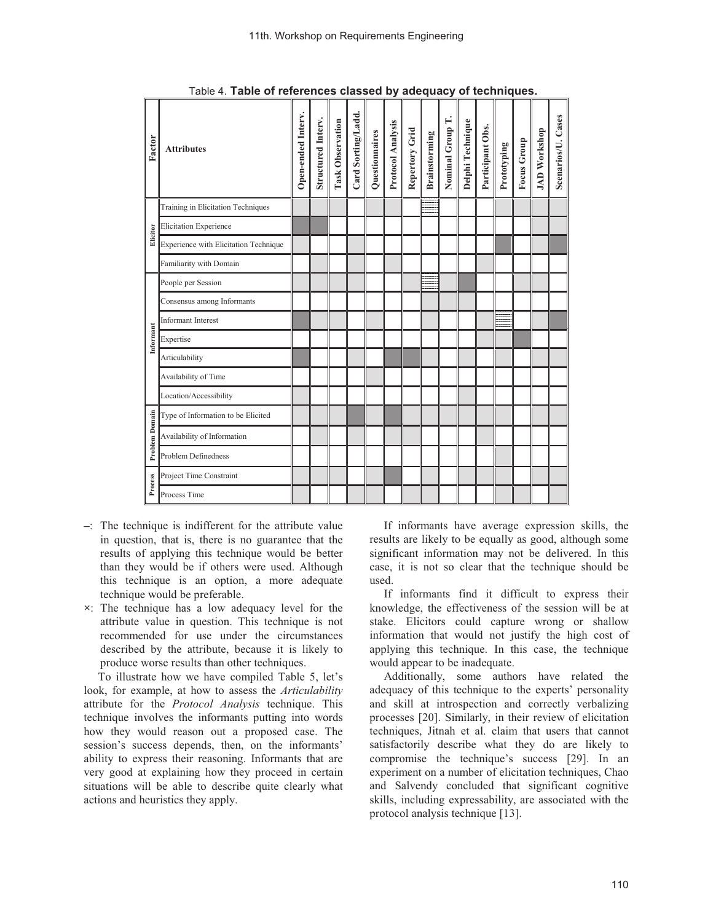| Factor         | <b>Attributes</b>                     | Open-ended Interv. | Structured Interv. | <b>Task Observation</b> | Card Sorting/Ladd. | Questionnaires | Protocol Analysis | Repertory Grid | <b>Brainstorming</b> | Nominal Group T. | Delphi Technique | Participant Obs. | Prototyping | <b>Focus Group</b> | <b>JAD Workshop</b> | Scenarios/U. Cases |
|----------------|---------------------------------------|--------------------|--------------------|-------------------------|--------------------|----------------|-------------------|----------------|----------------------|------------------|------------------|------------------|-------------|--------------------|---------------------|--------------------|
|                | Training in Elicitation Techniques    |                    |                    |                         |                    |                |                   |                |                      |                  |                  |                  |             |                    |                     |                    |
| Elicitor       | <b>Elicitation Experience</b>         |                    |                    |                         |                    |                |                   |                |                      |                  |                  |                  |             |                    |                     |                    |
|                | Experience with Elicitation Technique |                    |                    |                         |                    |                |                   |                |                      |                  |                  |                  |             |                    |                     |                    |
|                | Familiarity with Domain               |                    |                    |                         |                    |                |                   |                |                      |                  |                  |                  |             |                    |                     |                    |
|                | People per Session                    |                    |                    |                         |                    |                |                   |                |                      |                  |                  |                  |             |                    |                     |                    |
|                | Consensus among Informants            |                    |                    |                         |                    |                |                   |                |                      |                  |                  |                  |             |                    |                     |                    |
|                | <b>Informant Interest</b>             |                    |                    |                         |                    |                |                   |                |                      |                  |                  |                  |             |                    |                     |                    |
| Informant      | Expertise                             |                    |                    |                         |                    |                |                   |                |                      |                  |                  |                  |             |                    |                     |                    |
|                | Articulability                        |                    |                    |                         |                    |                |                   |                |                      |                  |                  |                  |             |                    |                     |                    |
|                | Availability of Time                  |                    |                    |                         |                    |                |                   |                |                      |                  |                  |                  |             |                    |                     |                    |
|                | Location/Accessibility                |                    |                    |                         |                    |                |                   |                |                      |                  |                  |                  |             |                    |                     |                    |
|                | Type of Information to be Elicited    |                    |                    |                         |                    |                |                   |                |                      |                  |                  |                  |             |                    |                     |                    |
| Problem Domain | Availability of Information           |                    |                    |                         |                    |                |                   |                |                      |                  |                  |                  |             |                    |                     |                    |
|                | Problem Definedness                   |                    |                    |                         |                    |                |                   |                |                      |                  |                  |                  |             |                    |                     |                    |
| Process        | Project Time Constraint               |                    |                    |                         |                    |                |                   |                |                      |                  |                  |                  |             |                    |                     |                    |
|                | Process Time                          |                    |                    |                         |                    |                |                   |                |                      |                  |                  |                  |             |                    |                     |                    |

Table 4. **Table of references classed by adequacy of techniques.**

- **–**: The technique is indifferent for the attribute value in question, that is, there is no guarantee that the results of applying this technique would be better than they would be if others were used. Although this technique is an option, a more adequate technique would be preferable.
- **×**: The technique has a low adequacy level for the attribute value in question. This technique is not recommended for use under the circumstances described by the attribute, because it is likely to produce worse results than other techniques.

To illustrate how we have compiled Table 5, let's look, for example, at how to assess the *Articulability*  attribute for the *Protocol Analysis* technique. This technique involves the informants putting into words how they would reason out a proposed case. The session's success depends, then, on the informants' ability to express their reasoning. Informants that are very good at explaining how they proceed in certain situations will be able to describe quite clearly what actions and heuristics they apply.

If informants have average expression skills, the results are likely to be equally as good, although some significant information may not be delivered. In this case, it is not so clear that the technique should be used.

If informants find it difficult to express their knowledge, the effectiveness of the session will be at stake. Elicitors could capture wrong or shallow information that would not justify the high cost of applying this technique. In this case, the technique would appear to be inadequate.

Additionally, some authors have related the adequacy of this technique to the experts' personality and skill at introspection and correctly verbalizing processes [20]. Similarly, in their review of elicitation techniques, Jitnah et al. claim that users that cannot satisfactorily describe what they do are likely to compromise the technique's success [29]. In an experiment on a number of elicitation techniques, Chao and Salvendy concluded that significant cognitive skills, including expressability, are associated with the protocol analysis technique [13].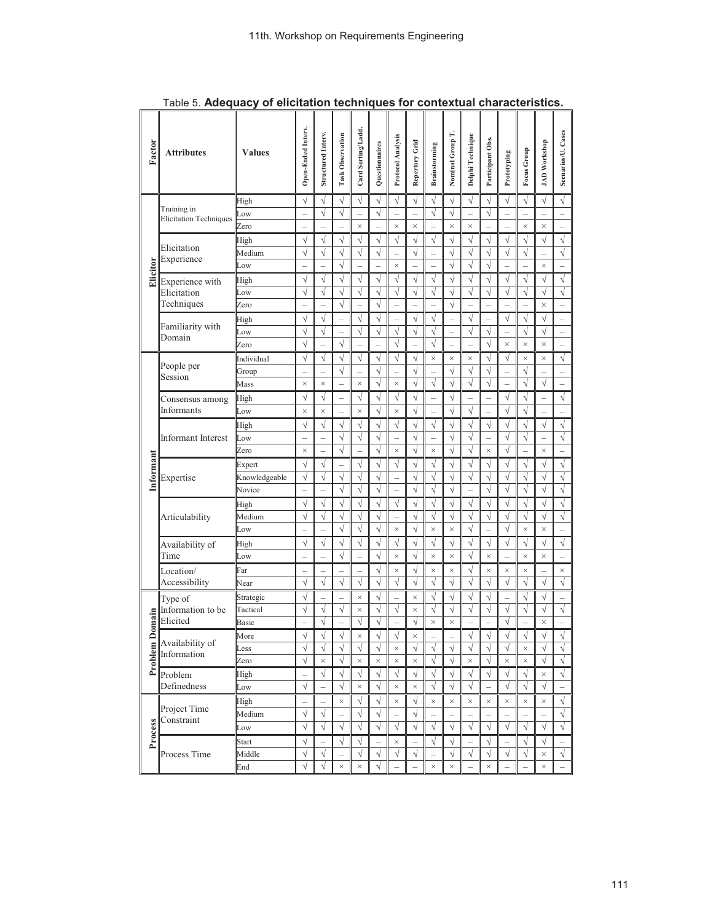| Factor    | <b>Attributes</b>                            | <b>Values</b> | Open-Ended Interv.       | Structured Interv.       | <b>Task Observation</b>  | Card Sorting/Ladd.       | Questionnaires | Protocol Analysis        | Repertory Grid           | <b>Brainstorming</b>     | Nominal Group T.         | Delphi Technique         | Participant Obs.         | Prototyping              | Focus Group           | <b>JAD Workshop</b> | Scenarios/U. Cases       |
|-----------|----------------------------------------------|---------------|--------------------------|--------------------------|--------------------------|--------------------------|----------------|--------------------------|--------------------------|--------------------------|--------------------------|--------------------------|--------------------------|--------------------------|-----------------------|---------------------|--------------------------|
|           |                                              | High          | $\sqrt{}$                | V                        | $\sqrt{}$                | $\sqrt{}$                | $\sqrt{}$      | $\sqrt{}$                | $\sqrt{}$                | $\sqrt{}$                | $\sqrt{}$                | $\sqrt{}$                | $\sqrt{}$                | $\sqrt{}$                | $\sqrt{}$             | $\sqrt{}$           | $\sqrt{}$                |
|           | Training in<br><b>Elicitation Techniques</b> | Low           | $\overline{\phantom{0}}$ | $\overline{\sqrt{2}}$    | $\sqrt{}$                | $\overline{\phantom{0}}$ | $\sqrt{}$      |                          | $\overline{\phantom{0}}$ | $\sqrt{}$                | $\sqrt{}$                | $\overline{\phantom{0}}$ | $\sqrt{}$                | $\overline{\phantom{0}}$ | ÷,                    |                     | $\overline{\phantom{0}}$ |
|           |                                              | Zero          |                          |                          |                          | $\times$                 |                | $\times$                 | $\times$                 |                          | $\times$                 | $\times$                 |                          |                          | $\times$              | $\times$            | $\overline{\phantom{0}}$ |
|           | Elicitation                                  | High          | $\sqrt{}$                | V                        | $\sqrt{}$                | $\sqrt{}$                | $\sqrt{}$      | $\sqrt{}$                | $\sqrt{}$                | $\sqrt{}$                | $\sqrt{}$                | $\sqrt{}$                | $\sqrt{2}$               | $\sqrt{}$                | $\sqrt{}$             | $\sqrt{}$           | $\sqrt{}$                |
|           | Experience                                   | Medium        | $\sqrt{}$                | $\overline{\sqrt{2}}$    | $\sqrt{}$                | $\sqrt{}$                | $\sqrt{}$      |                          | $\sqrt{}$                | L,                       | $\sqrt{}$                | $\sqrt{}$                | $\sqrt{}$                | $\sqrt{}$                | $\sqrt{}$             |                     | $\sqrt{}$                |
| Elicitor  |                                              | Low           |                          |                          | $\sqrt{}$                |                          |                | $\times$                 |                          |                          | $\sqrt{}$                | $\sqrt{ }$               | $\sqrt{}$                |                          |                       | $\times$            |                          |
|           | Experience with                              | High          | $\sqrt{}$                | $\sqrt{}$                | $\sqrt{}$                | $\overline{\sqrt{ }}$    | $\sqrt{}$      | $\sqrt{}$                | $\sqrt{}$                | $\sqrt{}$                | $\sqrt{}$                | $\sqrt{}$                | $\sqrt{}$                | $\sqrt{}$                | $\sqrt{}$             | $\sqrt{}$           | $\sqrt{}$                |
|           | Elicitation                                  | Low           | $\sqrt{}$                | $\sqrt{}$                | $\sqrt{}$                | $\sqrt{}$                | $\sqrt{}$      | $\sqrt{}$                | $\sqrt{}$                | $\sqrt{}$                | $\sqrt{}$                | $\sqrt{}$                | $\sqrt{}$                | $\sqrt{}$                | $\sqrt{}$             | $\sqrt{}$           | $\sqrt{}$                |
|           | Techniques                                   | Zero          | $\overline{\phantom{0}}$ |                          | $\sqrt{}$                | $\overline{\phantom{0}}$ | $\sqrt{}$      | $\qquad \qquad -$        | $\overline{\phantom{0}}$ |                          | $\sqrt{}$                | $\overline{\phantom{0}}$ | $\overline{\phantom{0}}$ |                          |                       | $\times$            | $\overline{\phantom{0}}$ |
|           | Familiarity with                             | High          | V                        | V                        |                          | $\sqrt{}$                | V              |                          | V                        | V                        | $\overline{\phantom{0}}$ | √                        | $\qquad \qquad -$        | V                        | V                     | V                   | $\overline{\phantom{0}}$ |
|           | Domain                                       | Low           | $\sqrt{}$                |                          |                          | $\sqrt{}$                | $\sqrt{}$      | $\sqrt{}$                |                          | $\sqrt{}$                | $\overline{a}$           | $\sqrt{}$                | $\sqrt{}$                |                          | $\sqrt{}$             | $\sqrt{}$           | $\overline{a}$           |
|           |                                              | Zero          | $\sqrt{}$                |                          | $\sqrt{}$                |                          |                | $\sqrt{}$                |                          | $\sqrt{}$                | L                        | L                        | $\sqrt{}$                | $\times$                 | $\times$              | $\times$            |                          |
|           | People per                                   | Individual    | V                        | $\sqrt{}$                | $\sqrt{}$                | $\sqrt{}$                | $\sqrt{}$      | $\sqrt{ }$               | $\sqrt{}$                | $\times$                 | $\times$                 | $\times$                 | $\sqrt{}$                | $\sqrt{}$                | $\times$              | $\times$            | $\sqrt{}$                |
|           | Session                                      | Group         |                          |                          | N                        |                          | $\sqrt{}$      |                          | V                        |                          |                          | $\sqrt{}$                | $\sqrt{}$                |                          | Ñ                     |                     |                          |
|           |                                              | Mass          | $\times$                 | $\times$                 |                          | $\times$                 | $\sqrt{}$      | $\times$                 | $\sqrt{}$                | $\sqrt{}$                | $\sqrt{}$                | $\sqrt{}$                | $\overline{\sqrt{2}}$    |                          | $\sqrt{}$             | $\sqrt{}$           |                          |
|           | Consensus among                              | High          | $\sqrt{}$                | $\sqrt{}$                | $\overline{a}$           | $\overline{\sqrt{ }}$    | $\sqrt{}$      | $\sqrt{}$                | $\sqrt{}$                | $\overline{a}$           | $\overline{\sqrt{ }}$    | $\overline{a}$           | $\overline{a}$           | $\sqrt{}$                | $\sqrt{}$             |                     | $\sqrt{}$                |
|           | Informants                                   | Low           | $\times$                 | $\times$                 | L.                       | $\times$                 | $\sqrt{}$      | $\times$                 | $\sqrt{}$                | L,                       | $\sqrt{}$                | $\sqrt{}$                | $\overline{a}$           | $\sqrt{}$                | $\sqrt{}$             |                     |                          |
|           |                                              | High          | $\sqrt{}$                | $\sqrt{}$                | $\sqrt{}$                | $\sqrt{}$                | $\sqrt{}$      | $\sqrt{}$                | $\sqrt{}$                | $\sqrt{}$                | $\sqrt{}$                | $\sqrt{}$                | $\sqrt{\phantom{a}}$     | $\sqrt{}$                | $\sqrt{}$             | $\sqrt{}$           | $\sqrt{}$                |
|           | <b>Informant</b> Interest                    | Low           | $\qquad \qquad -$        | $\overline{\phantom{0}}$ | $\sqrt{}$                | $\sqrt{}$                | $\sqrt{}$      |                          | $\sqrt{}$                | $\overline{\phantom{0}}$ | $\sqrt{}$                | $\sqrt{}$                | $\overline{\phantom{0}}$ | $\sqrt{}$                | $\sqrt{}$             | ÷                   | $\sqrt{}$                |
|           |                                              | Zero          | $\times$                 |                          | $\overline{\sqrt{ }}$    | $\overline{a}$           | $\sqrt{}$      | $\times$                 | $\sqrt{}$                | $\times$                 | $\sqrt{}$                | $\sqrt{}$                | $\times$                 |                          |                       | $\times$            | $\overline{\phantom{0}}$ |
| Informant |                                              | Expert        | $\sqrt{}$                | $\sqrt{}$                |                          | $\sqrt{}$                | $\sqrt{}$      | $\sqrt{}$                | $\sqrt{}$                | $\sqrt{}$                | $\sqrt{}$                | $\sqrt{}$                | $\sqrt{}$                | $\sqrt{}$                | $\sqrt{}$             | $\sqrt{}$           | $\sqrt{}$                |
|           | Expertise                                    | Knowledgeable | $\sqrt{}$                | $\overline{\sqrt{2}}$    | $\sqrt{}$                | $\sqrt{}$                | $\sqrt{}$      | L.                       | $\sqrt{}$                | $\sqrt{}$                | $\sqrt{}$                | $\sqrt{}$                | $\sqrt{}$                | $\sqrt{}$                | $\sqrt{}$             | $\sqrt{}$           | $\overline{\sqrt{2}}$    |
|           |                                              | Novice        | $\overline{\phantom{0}}$ |                          | $\sqrt{}$                | $\sqrt{}$                | $\sqrt{}$      | $\overline{\phantom{0}}$ | $\sqrt{}$                | N                        | $\sqrt{}$                |                          | $\sqrt{}$                | $\sqrt{}$                | $\sqrt{}$             |                     | $\sqrt{}$                |
|           | Articulability                               | High          | $\sqrt{}$                | V                        | V                        | $\sqrt{}$                | $\sqrt{}$      | $\sqrt{}$                | $\sqrt{}$                | $\sqrt{}$                | $\sqrt{}$                | $\sqrt{}$                | $\sqrt{}$                | $\sqrt{}$                | $\sqrt{}$             | √                   | $\sqrt{}$                |
|           |                                              | Medium        | $\sqrt{}$                | $\sqrt{ }$               | $\sqrt{}$                | $\sqrt{}$                | $\sqrt{}$      | $\overline{a}$           | $\sqrt{}$                | $\sqrt{}$                | $\sqrt{}$                | $\sqrt{ }$               | $\sqrt{}$                | $\sqrt{}$                | $\overline{\sqrt{2}}$ | $\sqrt{}$           | $\sqrt{}$                |
|           |                                              | Low           | $\overline{\phantom{0}}$ |                          | $\sqrt{}$                | $\sqrt{}$                | $\sqrt{}$      | $\times$                 | $\sqrt{}$                | $\times$                 | $\times$                 | $\sqrt{}$                | $\overline{\phantom{0}}$ | $\sqrt{}$                | $\times$              | $\times$            | $\equiv$                 |
|           | Availability of                              | High          | $\sqrt{}$                | $\sqrt{}$                | $\sqrt{}$                | $\sqrt{\phantom{a}}$     | $\sqrt{}$      | $\sqrt{}$                | $\sqrt{}$                | $\sqrt{}$                | $\sqrt{}$                | $\sqrt{}$                | $\sqrt{\phantom{a}}$     | $\sqrt{}$                | $\sqrt{}$             | $\sqrt{ }$          | $\sqrt{}$                |
|           | Time                                         | Low           | $\overline{\phantom{0}}$ |                          | $\sqrt{}$                | $\overline{\phantom{0}}$ | $\sqrt{}$      | $\times$                 | $\sqrt{}$                | $\times$                 | $\times$                 | $\sqrt{}$                | $\times$                 |                          | $\times$              | $\times$            | $\overline{\phantom{0}}$ |
|           | Location/                                    | Far           | $\qquad \qquad -$        |                          | $\overline{\phantom{0}}$ | $\overline{\phantom{0}}$ | V              | $\times$                 | V                        | ×                        | X                        | V                        | $\times$                 | ×                        | ×                     |                     | $\times$                 |
|           | Accessibility                                | Near          | $\sqrt{}$                | $\sqrt{}$                | $\sqrt{}$                | $\sqrt{}$                | $\sqrt{}$      | $\sqrt{ }$               | $\sqrt{}$                | $\sqrt{}$                | $\sqrt{}$                | $\sqrt{}$                | $\sqrt{}$                | $\sqrt{}$                | $\sqrt{}$             | $\sqrt{}$           | $\sqrt{}$                |
|           | Type of                                      | Strategic     | $\sqrt{}$                |                          |                          | $\times$                 | $\sqrt{}$      |                          | $\times$                 | $\sqrt{}$                | $\sqrt{}$                | $\sqrt{}$                | $\sqrt{2}$               |                          | $\sqrt{}$             | $\sqrt{}$           |                          |
|           | Information to be                            | Tactical      | $\sqrt{}$                | N                        | $\sqrt{}$                | $\times$                 | $\sqrt{}$      | $\sqrt{}$                | $\times$                 | $\sqrt{}$                | $\sqrt{}$                | $\sqrt{}$                | $\bar{\sqrt{}}$          | $\sqrt{}$                | $\sqrt{}$             | V                   | $\sqrt{}$                |
| Jomain    | Elicited                                     | Basic         |                          | $\sqrt{}$                |                          | $\sqrt{}$                | $\sqrt{}$      |                          | $\sqrt{}$                | $\times$                 | $\times$                 |                          |                          | $\sqrt{}$                |                       | $\times$            |                          |
|           | Availability of                              | More          | $\sqrt{}$                |                          | v                        | $\times$                 | ٧              | v                        | $\times$                 |                          |                          | v                        | $\sqrt{ }$               | ا.<br>v                  | $\sqrt{ }$            | $\overline{1}$      | $\sqrt{}$                |
|           | Information                                  | Less          | $\sqrt{}$                | $\sqrt{}$                | $\sqrt{}$                | $\sqrt{}$                | $\sqrt{}$      | $\times$                 | V                        | V                        | $\sqrt{}$                | $\sqrt{}$                | $\sqrt{}$                | $\sqrt{}$                | $\times$              | $\sqrt{}$           | $\sqrt{}$                |
| Problem   |                                              | Zero          | $\sqrt{}$                | $\times$                 | $\sqrt{}$                | $\times$                 | $\times$       | $\times$                 | $\times$                 | √                        | $\sqrt{}$                | $\times$                 | $\sqrt{}$                | $\times$                 | $\times$              | $\sqrt{}$           | $\sqrt{}$                |
|           | Problem                                      | High          |                          | $\sqrt{}$                | $\sqrt{}$                | $\sqrt{}$                | $\sqrt{}$      | $\sqrt{}$                | $\sqrt{}$                | $\sqrt{}$                | $\sqrt{}$                | $\sqrt{}$                | $\sqrt{}$                | $\sqrt{}$                | $\sqrt{}$             | $\times$            | $\sqrt{}$                |
|           | Definedness                                  | Low           | $\sqrt{}$                |                          | $\sqrt{}$                | $\times$                 | $\sqrt{}$      | $\times$                 | $\times$                 | $\sqrt{}$                | $\sqrt{}$                | $\sqrt{}$                |                          | $\sqrt{}$                | $\sqrt{}$             | $\sqrt{}$           |                          |
|           | Project Time                                 | High          |                          |                          | $\times$                 | $\sqrt{}$                | $\sqrt{}$      | $\times$                 | $\sqrt{}$                | $\times$                 | $\times$                 | $\times$                 | $\times$                 | $\times$                 | $\times$              | $\times$            | $\sqrt{\phantom{a}}$     |
|           | Constraint                                   | Medium        | $\sqrt{}$                | $\sqrt{}$                |                          | $\sqrt{}$                | $\sqrt{}$      | $\qquad \qquad -$        | $\sqrt{}$                |                          |                          |                          | $\overline{\phantom{0}}$ |                          |                       |                     | $\sqrt{\phantom{a}}$     |
| Process   |                                              | Low           | $\sqrt{}$                | $\sqrt{2}$               | $\sqrt{}$                | $\sqrt{}$                | $\sqrt{}$      | $\sqrt{}$                | $\sqrt{}$                | $\sqrt{}$                | $\sqrt{}$                | $\sqrt{}$                | $\sqrt{}$                | $\sqrt{}$                | $\sqrt{}$             | V                   | $\sqrt{}$                |
|           |                                              | Start         | $\sqrt{}$                |                          | √                        | $\sqrt{}$                |                | $\times$                 |                          | V                        | √                        |                          | $\sqrt{}$                |                          | V                     | V                   |                          |
|           | Process Time                                 | Middle        | $\sqrt{}$                | $\sqrt{}$                | $\overline{a}$           | $\sqrt{}$                | $\sqrt{}$      | $\sqrt{}$                | $\sqrt{}$                | $\overline{a}$           | $\sqrt{}$                | $\sqrt{}$                | $\sqrt{}$                | $\sqrt{}$                | $\sqrt{}$             | $\times$            | $\sqrt{ }$               |
|           |                                              | End           | $\sqrt{}$                |                          | $\times$                 | $\times$                 | $\sqrt{}$      | $\equiv$                 |                          | $\times$                 | $\times$                 |                          | $\times$                 |                          |                       | $\times$            | $\equiv$                 |

Table 5. **Adequacy of elicitation techniques for contextual characteristics.**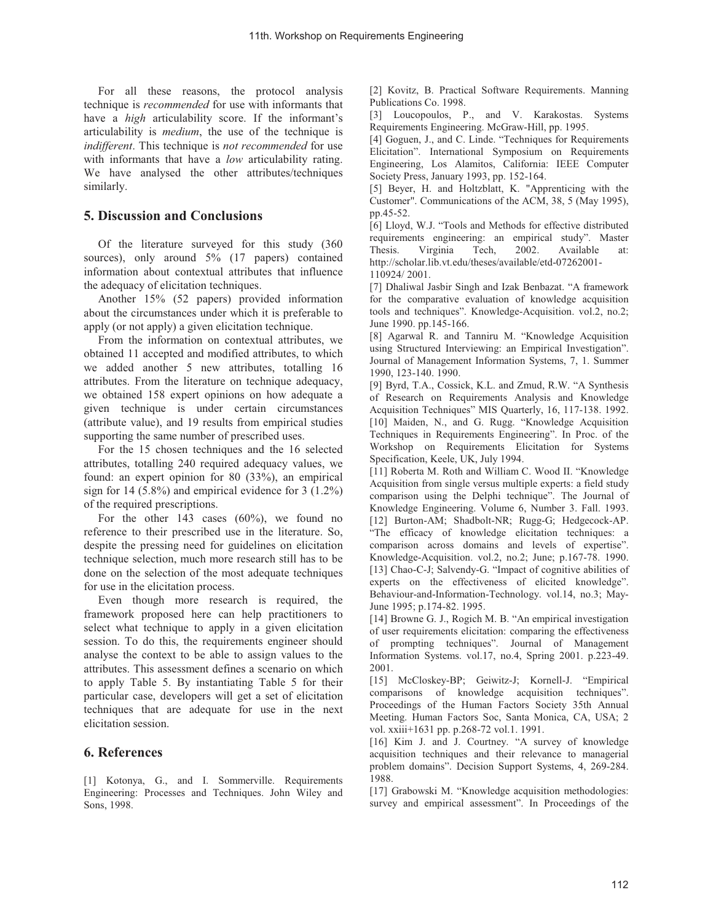For all these reasons, the protocol analysis technique is *recommended* for use with informants that have a *high* articulability score. If the informant's articulability is *medium*, the use of the technique is *indifferent*. This technique is *not recommended* for use with informants that have a *low* articulability rating. We have analysed the other attributes/techniques similarly.

# **5. Discussion and Conclusions**

Of the literature surveyed for this study (360 sources), only around 5% (17 papers) contained information about contextual attributes that influence the adequacy of elicitation techniques.

Another 15% (52 papers) provided information about the circumstances under which it is preferable to apply (or not apply) a given elicitation technique.

From the information on contextual attributes, we obtained 11 accepted and modified attributes, to which we added another 5 new attributes, totalling 16 attributes. From the literature on technique adequacy, we obtained 158 expert opinions on how adequate a given technique is under certain circumstances (attribute value), and 19 results from empirical studies supporting the same number of prescribed uses.

For the 15 chosen techniques and the 16 selected attributes, totalling 240 required adequacy values, we found: an expert opinion for 80 (33%), an empirical sign for 14 (5.8%) and empirical evidence for  $3(1.2\%)$ of the required prescriptions.

For the other 143 cases (60%), we found no reference to their prescribed use in the literature. So, despite the pressing need for guidelines on elicitation technique selection, much more research still has to be done on the selection of the most adequate techniques for use in the elicitation process.

Even though more research is required, the framework proposed here can help practitioners to select what technique to apply in a given elicitation session. To do this, the requirements engineer should analyse the context to be able to assign values to the attributes. This assessment defines a scenario on which to apply Table 5. By instantiating Table 5 for their particular case, developers will get a set of elicitation techniques that are adequate for use in the next elicitation session.

## **6. References**

[1] Kotonya, G., and I. Sommerville. Requirements Engineering: Processes and Techniques. John Wiley and Sons, 1998.

[2] Kovitz, B. Practical Software Requirements. Manning Publications Co. 1998.

[3] Loucopoulos, P., and V. Karakostas. Systems Requirements Engineering. McGraw-Hill, pp. 1995.

[4] Goguen, J., and C. Linde. "Techniques for Requirements Elicitation". International Symposium on Requirements Engineering, Los Alamitos, California: IEEE Computer Society Press, January 1993, pp. 152-164.

[5] Beyer, H. and Holtzblatt, K. "Apprenticing with the Customer". Communications of the ACM, 38, 5 (May 1995), pp.45-52.

[6] Lloyd, W.J. "Tools and Methods for effective distributed requirements engineering: an empirical study". Master Thesis. Virginia Tech, 2002. Available at: http://scholar.lib.vt.edu/theses/available/etd-07262001- 110924/ 2001.

[7] Dhaliwal Jasbir Singh and Izak Benbazat. "A framework for the comparative evaluation of knowledge acquisition tools and techniques". Knowledge-Acquisition. vol.2, no.2; June 1990. pp.145-166.

[8] Agarwal R. and Tanniru M. "Knowledge Acquisition using Structured Interviewing: an Empirical Investigation". Journal of Management Information Systems, 7, 1. Summer 1990, 123-140. 1990.

[9] Byrd, T.A., Cossick, K.L. and Zmud, R.W. "A Synthesis of Research on Requirements Analysis and Knowledge Acquisition Techniques" MIS Quarterly, 16, 117-138. 1992. [10] Maiden, N., and G. Rugg. "Knowledge Acquisition Techniques in Requirements Engineering". In Proc. of the Workshop on Requirements Elicitation for Systems Specification, Keele, UK, July 1994.

[11] Roberta M. Roth and William C. Wood II. "Knowledge Acquisition from single versus multiple experts: a field study comparison using the Delphi technique". The Journal of Knowledge Engineering. Volume 6, Number 3. Fall. 1993. [12] Burton-AM; Shadbolt-NR; Rugg-G; Hedgecock-AP. "The efficacy of knowledge elicitation techniques: a comparison across domains and levels of expertise". Knowledge-Acquisition. vol.2, no.2; June; p.167-78. 1990. [13] Chao-C-J; Salvendy-G. "Impact of cognitive abilities of experts on the effectiveness of elicited knowledge". Behaviour-and-Information-Technology. vol.14, no.3; May-June 1995; p.174-82. 1995.

[14] Browne G. J., Rogich M. B. "An empirical investigation of user requirements elicitation: comparing the effectiveness of prompting techniques". Journal of Management Information Systems. vol.17, no.4, Spring 2001. p.223-49. 2001.

[15] McCloskey-BP; Geiwitz-J; Kornell-J. "Empirical comparisons of knowledge acquisition techniques". Proceedings of the Human Factors Society 35th Annual Meeting. Human Factors Soc, Santa Monica, CA, USA; 2 vol. xxiii+1631 pp. p.268-72 vol.1. 1991.

[16] Kim J. and J. Courtney. "A survey of knowledge acquisition techniques and their relevance to managerial problem domains". Decision Support Systems, 4, 269-284. 1988.

[17] Grabowski M. "Knowledge acquisition methodologies: survey and empirical assessment". In Proceedings of the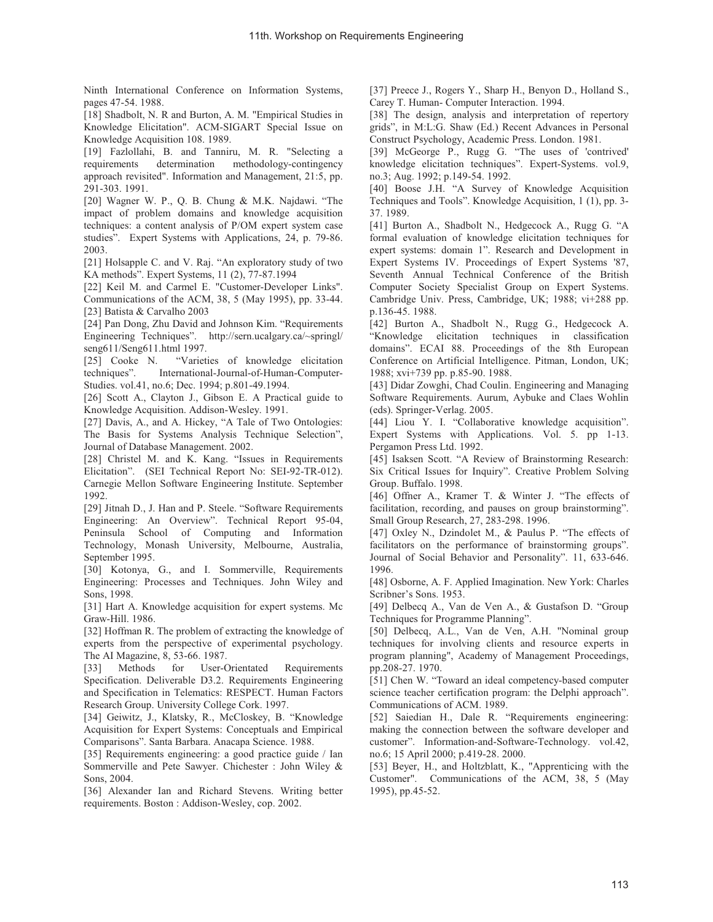Ninth International Conference on Information Systems, pages 47-54. 1988.

[18] Shadbolt, N. R and Burton, A. M. "Empirical Studies in Knowledge Elicitation". ACM-SIGART Special Issue on Knowledge Acquisition 108. 1989.

[19] Fazlollahi, B. and Tanniru, M. R. "Selecting a requirements determination methodology-contingency approach revisited". Information and Management, 21:5, pp. 291-303. 1991.

[20] Wagner W. P., Q. B. Chung & M.K. Najdawi. "The impact of problem domains and knowledge acquisition techniques: a content analysis of P/OM expert system case studies". Expert Systems with Applications, 24, p. 79-86. 2003.

[21] Holsapple C. and V. Raj. "An exploratory study of two KA methods". Expert Systems, 11 (2), 77-87.1994

[22] Keil M. and Carmel E. "Customer-Developer Links". Communications of the ACM, 38, 5 (May 1995), pp. 33-44. [23] Batista & Carvalho 2003

[24] Pan Dong, Zhu David and Johnson Kim. "Requirements Engineering Techniques". http://sern.ucalgary.ca/~springl/ seng611/Seng611.html 1997.

[25] Cooke N. "Varieties of knowledge elicitation techniques". International-Journal-of-Human-Computer-Studies. vol.41, no.6; Dec. 1994; p.801-49.1994.

[26] Scott A., Clayton J., Gibson E. A Practical guide to Knowledge Acquisition. Addison-Wesley. 1991.

[27] Davis, A., and A. Hickey, "A Tale of Two Ontologies: The Basis for Systems Analysis Technique Selection", Journal of Database Management. 2002.

[28] Christel M. and K. Kang. "Issues in Requirements Elicitation". (SEI Technical Report No: SEI-92-TR-012). Carnegie Mellon Software Engineering Institute. September 1992.

[29] Jitnah D., J. Han and P. Steele. "Software Requirements Engineering: An Overview". Technical Report 95-04, Peninsula School of Computing and Information Technology, Monash University, Melbourne, Australia, September 1995.

[30] Kotonya, G., and I. Sommerville, Requirements Engineering: Processes and Techniques. John Wiley and Sons, 1998.

[31] Hart A. Knowledge acquisition for expert systems. Mc Graw-Hill. 1986.

[32] Hoffman R. The problem of extracting the knowledge of experts from the perspective of experimental psychology. The AI Magazine, 8, 53-66. 1987.

[33] Methods for User-Orientated Requirements Specification. Deliverable D3.2. Requirements Engineering and Specification in Telematics: RESPECT. Human Factors Research Group. University College Cork. 1997.

[34] Geiwitz, J., Klatsky, R., McCloskey, B. "Knowledge Acquisition for Expert Systems: Conceptuals and Empirical Comparisons". Santa Barbara. Anacapa Science. 1988.

[35] Requirements engineering: a good practice guide / Ian Sommerville and Pete Sawyer. Chichester : John Wiley & Sons, 2004.

[36] Alexander Ian and Richard Stevens. Writing better requirements. Boston : Addison-Wesley, cop. 2002.

[37] Preece J., Rogers Y., Sharp H., Benyon D., Holland S., Carey T. Human- Computer Interaction. 1994.

[38] The design, analysis and interpretation of repertory grids", in M:L:G. Shaw (Ed.) Recent Advances in Personal Construct Psychology, Academic Press. London. 1981.

[39] McGeorge P., Rugg G. "The uses of 'contrived' knowledge elicitation techniques". Expert-Systems. vol.9, no.3; Aug. 1992; p.149-54. 1992.

[40] Boose J.H. "A Survey of Knowledge Acquisition Techniques and Tools". Knowledge Acquisition, 1 (1), pp. 3- 37. 1989.

[41] Burton A., Shadbolt N., Hedgecock A., Rugg G. "A formal evaluation of knowledge elicitation techniques for expert systems: domain 1". Research and Development in Expert Systems IV. Proceedings of Expert Systems '87, Seventh Annual Technical Conference of the British Computer Society Specialist Group on Expert Systems. Cambridge Univ. Press, Cambridge, UK; 1988; vi+288 pp. p.136-45. 1988.

[42] Burton A., Shadbolt N., Rugg G., Hedgecock A. "Knowledge elicitation techniques in classification domains". ECAI 88. Proceedings of the 8th European Conference on Artificial Intelligence. Pitman, London, UK; 1988; xvi+739 pp. p.85-90. 1988.

[43] Didar Zowghi, Chad Coulin. Engineering and Managing Software Requirements. Aurum, Aybuke and Claes Wohlin (eds). Springer-Verlag. 2005.

[44] Liou Y. I. "Collaborative knowledge acquisition". Expert Systems with Applications. Vol. 5. pp 1-13. Pergamon Press Ltd. 1992.

[45] Isaksen Scott. "A Review of Brainstorming Research: Six Critical Issues for Inquiry". Creative Problem Solving Group. Buffalo. 1998.

[46] Offner A., Kramer T. & Winter J. "The effects of facilitation, recording, and pauses on group brainstorming". Small Group Research, 27, 283-298. 1996.

[47] Oxley N., Dzindolet M., & Paulus P. "The effects of facilitators on the performance of brainstorming groups". Journal of Social Behavior and Personality". 11, 633-646. 1996.

[48] Osborne, A. F. Applied Imagination. New York: Charles Scribner's Sons. 1953.

[49] Delbecq A., Van de Ven A., & Gustafson D. "Group Techniques for Programme Planning".

[50] Delbecq, A.L., Van de Ven, A.H. "Nominal group techniques for involving clients and resource experts in program planning", Academy of Management Proceedings, pp.208-27. 1970.

[51] Chen W. "Toward an ideal competency-based computer science teacher certification program: the Delphi approach". Communications of ACM. 1989.

[52] Saiedian H., Dale R. "Requirements engineering: making the connection between the software developer and customer". Information-and-Software-Technology. vol.42, no.6; 15 April 2000; p.419-28. 2000.

[53] Beyer, H., and Holtzblatt, K., "Apprenticing with the Customer". Communications of the ACM, 38, 5 (May 1995), pp.45-52.